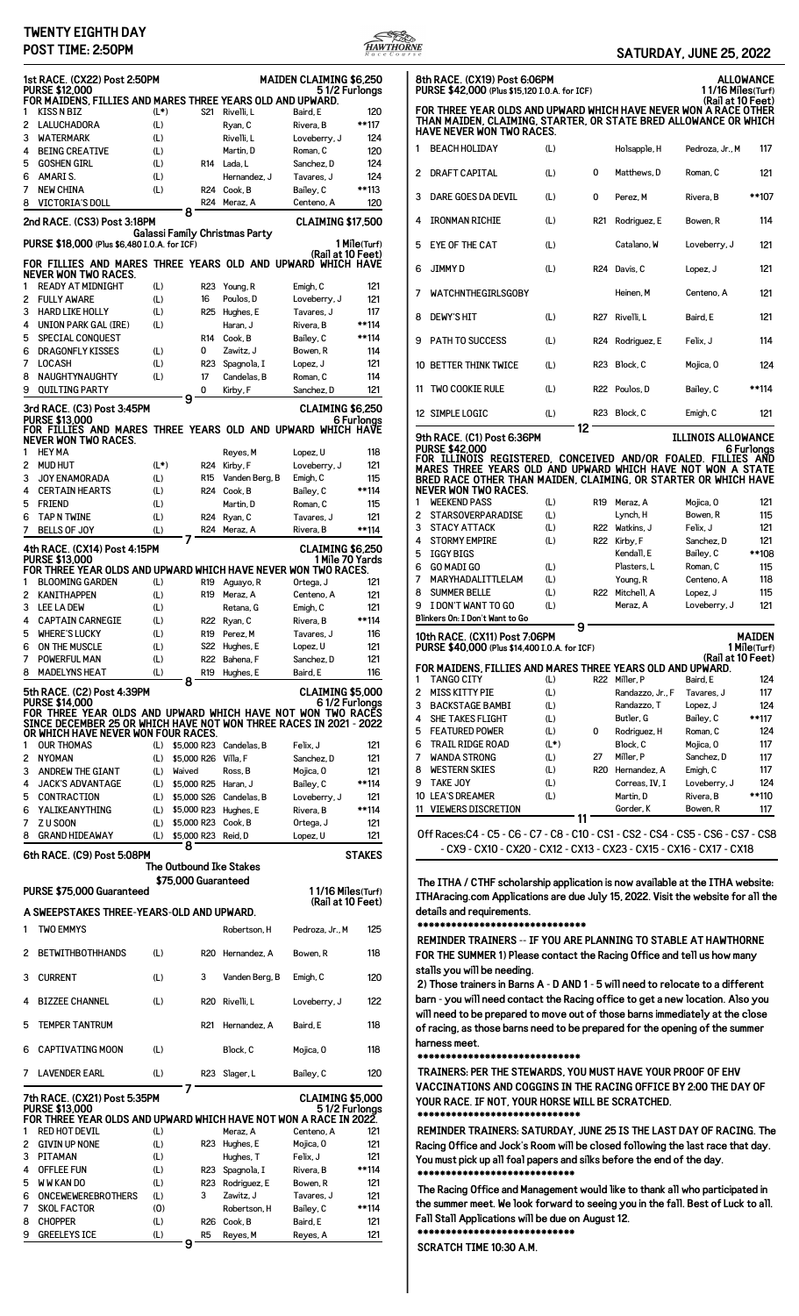## **TWENTY EIGHTH DAY POST TIME: 2:50PM SATURDAY, JUNE 25, 2022**



| 1st RACE. (CX22) Post 2:50PM<br>MAIDEN CLAIMING \$6,250<br><b>PURSE \$12,000</b><br>51/2 Furlongs |                                                                                                                            |               |                            |                        |                                |                                           |                |
|---------------------------------------------------------------------------------------------------|----------------------------------------------------------------------------------------------------------------------------|---------------|----------------------------|------------------------|--------------------------------|-------------------------------------------|----------------|
|                                                                                                   | FOR MAIDENS, FILLIES AND MARES THREE YEARS OLD AND UPWARD.<br>KISS N BIZ                                                   | $(L*)$        |                            | S21                    | Rivelli, L                     | Baird, E                                  |                |
| 1<br>2                                                                                            | LALUCHADORA                                                                                                                | (L)           |                            |                        | Ryan, C                        | Rivera, B                                 | 120<br>**117   |
| 3                                                                                                 | <b>WATERMARK</b>                                                                                                           | (L)           |                            |                        | Rivelli, L                     | Loveberry, J                              | 124            |
| 4<br>5                                                                                            | <b>BEING CREATIVE</b><br><b>GOSHEN GIRL</b>                                                                                | (L)<br>(L)    |                            | R14                    | Martin, D<br>Lada, L           | Roman, C<br>Sanchez, D                    | 120<br>124     |
| 6                                                                                                 | AMARIS.                                                                                                                    | (L)           |                            |                        | Hernandez, J                   | Tavares, J                                | 124            |
| 7                                                                                                 | <b>NEW CHINA</b>                                                                                                           | (L)           |                            | R24                    | Cook. B                        | Bailey, C                                 | **113          |
| 8                                                                                                 | <b>VICTORIA'S DOLL</b>                                                                                                     |               | 8                          | <b>R24</b>             | Meraz, A                       | Centeno, A                                | 120            |
|                                                                                                   | 2nd RACE. (CS3) Post 3:18PM                                                                                                |               |                            |                        | Galassi Family Christmas Party | <b>CLAIMING \$17,500</b>                  |                |
|                                                                                                   | PURSE \$18,000 (Plus \$6,480 I.O.A. for ICF)                                                                               |               |                            |                        |                                |                                           | 1 Mile(Turf)   |
|                                                                                                   | FOR FILLIES AND MARES THREE YEARS OLD AND UPWARD WHICH HAVE                                                                |               |                            |                        |                                | (Rail at 10 Feet)                         |                |
| 1                                                                                                 | NEVER WON TWO RACES.<br><b>READY AT MIDNIGHT</b>                                                                           | (L)           |                            | R <sub>23</sub>        | Young, R                       | Emigh, C                                  | 121            |
| 2                                                                                                 | <b>FULLY AWARE</b>                                                                                                         | (L)           |                            | 16                     | Poulos, D                      | Loveberry, J                              | 121            |
| 3                                                                                                 | <b>HARD LIKE HOLLY</b>                                                                                                     | (L)           |                            | <b>R25</b>             | Huahes, E                      | Tavares, J                                | 117            |
| 4<br>5                                                                                            | <b>UNION PARK GAL (IRE)</b><br>SPECIAL CONQUEST                                                                            | (L)           |                            | R <sub>14</sub>        | Haran, J<br>Cook, B            | Rivera, B<br>Bailey, C                    | **114<br>**114 |
| 6                                                                                                 | <b>DRAGONFLY KISSES</b>                                                                                                    | (L)           |                            | 0                      | Zawitz, J                      | Bowen, R                                  | 114            |
| 7                                                                                                 | LOCASH                                                                                                                     | (L)           |                            | R <sub>23</sub>        | Spagnola, I                    | Lopez, J                                  | 121            |
| 8<br>9                                                                                            | <b>NAUGHTYNAUGHTY</b><br><b>QUILTING PARTY</b>                                                                             | (L)           |                            | 17<br>0                | Candelas, B<br>Kirby, F        | Roman. C<br>Sanchez, D                    | 114<br>121     |
|                                                                                                   |                                                                                                                            |               | 9                          |                        |                                |                                           |                |
|                                                                                                   | 3rd RACE. (C3) Post 3:45PM<br><b>PURSE \$13,000</b>                                                                        |               |                            |                        |                                | <b>CLAIMING \$6.250</b>                   | 6 Furlonas     |
|                                                                                                   | FOR FILLIES AND MARES THREE YEARS OLD AND UPWARD WHICH HAVE<br>NEVER WON TWO RACES.                                        |               |                            |                        |                                |                                           |                |
| 1                                                                                                 | <b>HEY MA</b>                                                                                                              |               |                            |                        | Reyes, M                       | Lopez, U                                  | 118            |
| 2<br>3                                                                                            | MUD HUT<br>JOY ENAMORADA                                                                                                   | $(L*)$<br>(L) |                            | R15                    | R24 Kirby, F<br>Vanden Berg, B | Loveberry, J<br>Emigh, C                  | 121<br>115     |
| 4                                                                                                 | <b>CERTAIN HEARTS</b>                                                                                                      | (L)           |                            | R24                    | Cook, B                        | Bailey, C                                 | **114          |
| 5                                                                                                 | <b>FRIEND</b>                                                                                                              | (L)           |                            |                        | Martin, D                      | Roman, C                                  | 115            |
| 6<br>7                                                                                            | <b>TAP N TWINE</b><br><b>BELLS OF JOY</b>                                                                                  | (L)<br>(L)    |                            | R <sub>24</sub><br>R24 | Ryan, C<br>Meraz, A            | Tavares, J<br>Rivera, B                   | 121<br>**114   |
|                                                                                                   |                                                                                                                            |               |                            |                        |                                |                                           |                |
|                                                                                                   | 4th RACE. (CX14) Post 4:15PM<br><b>PURSE \$13,000</b>                                                                      |               |                            |                        |                                | CLAIMING \$6,250<br>1 Mile 70 Yards       |                |
| 1                                                                                                 | FOR THREE YEAR OLDS AND UPWARD WHICH HAVE NEVER WON TWO RACES.<br><b>BLOOMING GARDEN</b>                                   | (L)           |                            |                        |                                |                                           | 121            |
| 2                                                                                                 | <b>KANITHAPPEN</b>                                                                                                         | (L)           |                            | R19<br>R <sub>19</sub> | Aguayo, R<br>Meraz, A          | Ortega, J<br>Centeno, A                   | 121            |
| 3                                                                                                 | LEE LA DEW                                                                                                                 | (L)           |                            |                        | Retana, G                      | Emigh, C                                  | 121            |
| 4<br>5                                                                                            | <b>CAPTAIN CARNEGIE</b><br><b>WHERE'S LUCKY</b>                                                                            | (L)<br>(L)    |                            | R22<br>R19             | Ryan, C<br>Perez, M            | Rivera, B<br>Tavares, J                   | **114<br>116   |
| 6                                                                                                 | ON THE MUSCLE                                                                                                              | (L)           |                            | S22                    | Hughes, E                      | Lopez, U                                  | 121            |
| 7                                                                                                 | <b>POWERFUL MAN</b>                                                                                                        | (L)           |                            |                        |                                |                                           |                |
|                                                                                                   |                                                                                                                            |               |                            | R22                    | Bahena, F                      | Sanchez, D                                | 121            |
| 8                                                                                                 | <b>MADELYNS HEAT</b>                                                                                                       | (L)           | 8                          | R <sub>19</sub>        | Hughes, E                      | Baird, E                                  | 116            |
|                                                                                                   | 5th RACE. (C2) Post 4:39PM                                                                                                 |               |                            |                        |                                | <b>CLAIMING \$5,000</b>                   |                |
|                                                                                                   | <b>PURSE \$14,000</b><br>FOR THREE YEAR OLDS AND UPWARD WHICH HAVE NOT WON TWO RACES                                       |               |                            |                        |                                | 6 1/2 Furlonas                            |                |
|                                                                                                   | SINCE DECEMBER 25 OR WHICH HAVE NOT WON THREE RACES IN 2021 - 2022<br>OR WHICH HAVE NEVER WON FOUR RACES.                  |               |                            |                        |                                |                                           |                |
| 1                                                                                                 | <b>OUR THOMAS</b>                                                                                                          | (L)           | \$5,000 R23                |                        | Candelas, B                    | Felix, J                                  | 121            |
| 2                                                                                                 | <b>NYOMAN</b>                                                                                                              | (L)           | \$5,000 R26                |                        | Villa. F                       | Sanchez, D                                | 121            |
| 3<br>4                                                                                            | ANDREW THE GIANT<br><b>JACK'S ADVANTAGE</b>                                                                                | (L)<br>(L)    | Waived<br>\$5,000 R25      |                        | Ross, B<br>Haran, J            | Mojica, O<br>Bailey, C                    | 121<br>**114   |
| 5                                                                                                 | CONTRACTION                                                                                                                | (L)           | \$5,000 S26                |                        | Candelas, B                    | Loveberry, J                              | 121            |
| 6                                                                                                 | YALIKEANYTHING                                                                                                             | (L)           | \$5,000 R23                |                        | Hughes, E                      | Rivera, B                                 | **114          |
| 7<br>8                                                                                            | Z U SOON<br><b>GRAND HIDE AWAY</b>                                                                                         | (L)<br>(L)    | \$5,000 R23<br>\$5,000 R23 |                        | Cook, B<br>Reid, D             | Ortega, J<br>Lopez, U                     | 121<br>121     |
|                                                                                                   |                                                                                                                            |               | 8                          |                        |                                |                                           |                |
|                                                                                                   | 6th RACE. (C9) Post 5:08PM                                                                                                 |               |                            |                        | The Outbound Ike Stakes        |                                           | <b>STAKES</b>  |
|                                                                                                   | PURSE \$75,000 Guaranteed                                                                                                  |               |                            |                        | <b>\$75,000 Guaranteed</b>     | 1 1/16 Miles(Turf)                        |                |
|                                                                                                   |                                                                                                                            |               |                            |                        |                                | (Rail at 10 Feet)                         |                |
|                                                                                                   | A SWEEPSTAKES THREE-YEARS-OLD AND UPWARD.                                                                                  |               |                            |                        |                                |                                           |                |
| 1<br>2                                                                                            | <b>TWO EMMYS</b><br><b>BETWITHBOTHHANDS</b>                                                                                | (L)           |                            | <b>R20</b>             | Robertson, H<br>Hernandez, A   | Pedroza, Jr., M<br>Bowen, R               | 125<br>118     |
| 3                                                                                                 | <b>CURRENT</b>                                                                                                             | (L)           |                            | 3                      | Vanden Berg, B                 | Emigh, C                                  | 120            |
| 4                                                                                                 | <b>BIZZEE CHANNEL</b>                                                                                                      | (L)           |                            | <b>R20</b>             | Rivelli, L                     | Loveberry, J                              | 122            |
| 5                                                                                                 | <b>TEMPER TANTRUM</b>                                                                                                      |               |                            | R <sub>21</sub>        | Hernandez, A                   | Baird, E                                  | 118            |
| 6                                                                                                 | <b>CAPTIVATING MOON</b>                                                                                                    | (L)           |                            |                        | Block, C                       | Mojica, O                                 | 118            |
| 7                                                                                                 | <b>LAVENDER EARL</b>                                                                                                       | (L)           |                            | <b>R23</b>             | Slager, L                      | Bailey, C                                 | 120            |
|                                                                                                   | 7th RACE. (CX21) Post 5:35PM<br><b>PURSE \$13,000</b><br>FOR THREE YEAR OLDS AND UPWARD WHICH HAVE NOT WON A RACE IN 2022. |               | 7                          |                        |                                | <b>CLAIMING \$5,000</b><br>5 1/2 Furlonas |                |
| 1                                                                                                 | <b>RED HOT DEVIL</b>                                                                                                       | (L)           |                            |                        | Meraz, A                       | Centeno, A                                | 121            |
| 2                                                                                                 | <b>GIVIN UP NONE</b>                                                                                                       | (L)           |                            |                        | R23 Hughes, E                  | Mojica, O                                 | 121            |
| 3<br>4                                                                                            | PITAMAN<br><b>OFFLEE FUN</b>                                                                                               | (L)<br>(L)    |                            | <b>R23</b>             | Hughes, T<br>Spagnola, I       | Felix, J<br>Rivera, B                     | 121<br>**114   |
| 5                                                                                                 | <b>WWKANDO</b>                                                                                                             | (L)           |                            |                        | R23 Rodriguez, E               | Bowen, R                                  | 121            |
| 6<br>7                                                                                            | <b>ONCEWEWEREBROTHERS</b><br><b>SKOL FACTOR</b>                                                                            | (L)<br>(0)    |                            | 3                      | Zawitz, J<br>Robertson, H      | Tavares, J<br>Bailey, C                   | 121<br>**114   |

9 GREELEYS ICE (L) R5 Reyes, M Reyes, A 121 **9**

| . <i>.</i> .<br><b>11/16 Miles</b> (Turf)<br>PURSE \$42,000 (Plus \$15,120 I.O.A. for ICF)                                                                                                    |                                                                                                                                                                                                                                                                                                                                                      |                          |            |                                                                      |                                                              |                                       |
|-----------------------------------------------------------------------------------------------------------------------------------------------------------------------------------------------|------------------------------------------------------------------------------------------------------------------------------------------------------------------------------------------------------------------------------------------------------------------------------------------------------------------------------------------------------|--------------------------|------------|----------------------------------------------------------------------|--------------------------------------------------------------|---------------------------------------|
| (Rail at 10 Feet)<br>FOR THREE YEAR OLDS AND UPWARD WHICH HAVE NEVER WON A RACE OTHER<br>THAN MAIDEN, CLAIMING, STARTER, OR STATE BRED ALLOWANCE OR WHICH<br><b>HAVE NEVER WON TWO RACES.</b> |                                                                                                                                                                                                                                                                                                                                                      |                          |            |                                                                      |                                                              |                                       |
| 1                                                                                                                                                                                             | <b>BEACH HOLIDAY</b>                                                                                                                                                                                                                                                                                                                                 | (L)                      |            | Holsapple, H                                                         | Pedroza, Jr., M                                              | 117                                   |
| 2                                                                                                                                                                                             | <b>DRAFT CAPITAL</b>                                                                                                                                                                                                                                                                                                                                 | (L)                      | 0          | Matthews, D                                                          | Roman, C                                                     | 121                                   |
| 3                                                                                                                                                                                             | DARE GOES DA DEVIL                                                                                                                                                                                                                                                                                                                                   | (L)                      | 0          | Perez, M                                                             | Rivera, B                                                    | **107                                 |
| 4                                                                                                                                                                                             | <b>IRONMAN RICHIE</b>                                                                                                                                                                                                                                                                                                                                | (L)                      | R21        | Rodriguez, E                                                         | Bowen, R                                                     | 114                                   |
| 5                                                                                                                                                                                             | EYE OF THE CAT                                                                                                                                                                                                                                                                                                                                       | (L)                      |            | Catalano, W                                                          | Loveberry, J                                                 | 121                                   |
| 6                                                                                                                                                                                             | JIMMY D                                                                                                                                                                                                                                                                                                                                              | (L)                      |            | R24 Davis, C                                                         | Lopez, J                                                     | 121                                   |
| 7                                                                                                                                                                                             | <b>WATCHNTHEGIRLSGOBY</b>                                                                                                                                                                                                                                                                                                                            |                          |            | Heinen, M                                                            | Centeno, A                                                   | 121                                   |
| 8                                                                                                                                                                                             | <b>DEWY'S HIT</b>                                                                                                                                                                                                                                                                                                                                    | (L)                      | R27        | Rivelli, L                                                           | Baird, E                                                     | 121                                   |
| 9                                                                                                                                                                                             | <b>PATH TO SUCCESS</b>                                                                                                                                                                                                                                                                                                                               | (L)                      | R24        | Rodriguez, E                                                         | Felix, J                                                     | 114                                   |
|                                                                                                                                                                                               | 10 BETTER THINK TWICE                                                                                                                                                                                                                                                                                                                                | (L)                      | R23        | Block, C                                                             | Mojica, 0                                                    | 124                                   |
| 11                                                                                                                                                                                            | <b>TWO COOKIE RULE</b>                                                                                                                                                                                                                                                                                                                               | (L)                      | <b>R22</b> | Poulos, D                                                            | Bailey, C                                                    | **114                                 |
|                                                                                                                                                                                               | 12 SIMPLE LOGIC                                                                                                                                                                                                                                                                                                                                      | (L)<br>12                |            | R23 Block, C                                                         | Emigh, C                                                     | 121                                   |
| 1<br>2<br>3<br>4<br>5                                                                                                                                                                         | FOR ILLINOIS REGISTERED. CONCEIVED AND/OR FOALED. FILLIES AND<br>MARES THREE YEARS OLD AND UPWARD WHICH HAVE NOT WON A STATE<br>BRED RACE OTHER THAN MAIDEN, CLAIMING, OR STARTER OR WHICH HAVE<br><b>NEVER WON TWO RACES.</b><br><b>WEEKEND PASS</b><br><b>STARSOVERPARADISE</b><br><b>STACY ATTACK</b><br><b>STORMY EMPIRE</b><br><b>IGGY BIGS</b> | (L)<br>(L)<br>(L)<br>(L) | R19        | Meraz, A<br>Lynch, H<br>R22 Watkins, J<br>R22 Kirby, F<br>Kendall, E | Mojica, O<br>Bowen, R<br>Felix, J<br>Sanchez, D<br>Bailey, C | 121<br>115<br>121<br>121<br>**108     |
| 6<br>7                                                                                                                                                                                        | <b>GO MADI GO</b><br>MARYHADALITTLELAM                                                                                                                                                                                                                                                                                                               | (L)<br>(L)               |            | Plasters, L<br>Young, R                                              | Roman, C<br>Centeno, A                                       | 115<br>118                            |
| 8<br>9                                                                                                                                                                                        | <b>SUMMER BELLE</b><br>I DON'T WANT TO GO                                                                                                                                                                                                                                                                                                            | (L)<br>(L)               |            | R22 Mitchell, A<br>Meraz, A                                          | Lopez, J<br>Loveberry, J                                     | 115<br>121                            |
|                                                                                                                                                                                               | Blinkers On: I Don't Want to Go<br>10th RACE. (CX11) Post 7:06PM<br>PURSE \$40,000 (Plus \$14,400 I.O.A. for ICF)                                                                                                                                                                                                                                    | 9                        |            |                                                                      | (Rail at 10 Feet)                                            | <b>MAIDEN</b><br><b>1 Mile</b> (Turf) |
| 1                                                                                                                                                                                             | FOR MAIDENS, FILLIES AND MARES THREE YEARS OLD AND UPWARD.<br><b>TANGO CITY</b>                                                                                                                                                                                                                                                                      | (L)                      |            | R22 Miller, P                                                        | Baird, E                                                     | 124                                   |
| 2                                                                                                                                                                                             | <b>MISS KITTY PIE</b>                                                                                                                                                                                                                                                                                                                                | (L)                      |            | Randazzo, Jr., F                                                     | Tavares, J                                                   | 117                                   |
| 3                                                                                                                                                                                             | <b>BACKSTAGE BAMBI</b>                                                                                                                                                                                                                                                                                                                               | (L)                      |            | Randazzo, T                                                          | Lopez, J                                                     | 124                                   |
| 4                                                                                                                                                                                             | SHE TAKES FLIGHT                                                                                                                                                                                                                                                                                                                                     | (L)                      |            | Butler, G                                                            | Bailey, C                                                    | **117                                 |
| 5                                                                                                                                                                                             | <b>FEATURED POWER</b>                                                                                                                                                                                                                                                                                                                                | (L)                      | 0          | Rodriguez, H                                                         | Roman, C                                                     | 124                                   |
| 6                                                                                                                                                                                             | <b>TRAIL RIDGE ROAD</b>                                                                                                                                                                                                                                                                                                                              | (L*)                     |            | Block, C                                                             | Mojica, 0                                                    | 117                                   |
| 7                                                                                                                                                                                             | <b>WANDA STRONG</b>                                                                                                                                                                                                                                                                                                                                  | (L)                      | 27         | Miller, P                                                            | Sanchez, D                                                   | 117                                   |
| 8                                                                                                                                                                                             | <b>WESTERN SKIES</b>                                                                                                                                                                                                                                                                                                                                 | (L)                      | R20        | Hernandez, A                                                         | Emigh, C                                                     | 117                                   |
| 9                                                                                                                                                                                             | <b>TAKE JOY</b>                                                                                                                                                                                                                                                                                                                                      | (L)                      |            | Correas, IV, I                                                       | Loveberry, J                                                 | 124                                   |
|                                                                                                                                                                                               | 10 LEA'S DREAMER                                                                                                                                                                                                                                                                                                                                     | (L)                      |            | Martin, D                                                            | Rivera, B                                                    | **110                                 |
| 11                                                                                                                                                                                            | <b>VIEWERS DISCRETION</b>                                                                                                                                                                                                                                                                                                                            |                          |            | Gorder, K                                                            | Bowen, R                                                     | 117                                   |
|                                                                                                                                                                                               | 11<br>Off Races:C4 - C5 - C6 - C7 - C8 - C10 - CS1 - CS2 - CS4 - CS5 - CS6 - CS7 - CS8<br>- CX9 - CX10 - CX20 - CX12 - CX13 - CX23 - CX15 - CX16 - CX17 - CX18                                                                                                                                                                                       |                          |            |                                                                      |                                                              |                                       |

**8th RACE. (CX19) Post 6:06PM ALLOWANCE PURSE \$42,000 (Plus \$15,120 I.O.A. for ICF) 1 1/16 Miles(Turf)**

**The ITHA / CTHF scholarship application is now available at the ITHA website: ITHAracing.com Applications are due July 15, 2022. Visit the website for all the details and requirements.**

**\*\*\*\*\*\*\*\*\*\*\*\*\*\*\*\*\*\*\*\*\*\*\*\*\*\*\*\*\*\***

**REMINDER TRAINERS -- IF YOU ARE PLANNING TO STABLE AT HAWTHORNE FOR THE SUMMER 1) Please contact the Racing Office and tell us how many stalls you will be needing.**

**2) Those trainers in Barns A - D AND 1 - 5 will need to relocate to a different barn - you will need contact the Racing office to get a new location. Also you will need to be prepared to move out of those barns immediately at the close of racing, as those barns need to be prepared for the opening of the summer harness meet.**

**\*\*\*\*\*\*\*\*\*\*\*\*\*\*\*\*\*\*\*\*\*\*\*\*\*\*\*\*\***

**TRAINERS: PER THE STEWARDS, YOU MUST HAVE YOUR PROOF OF EHV VACCINATIONS AND COGGINS IN THE RACING OFFICE BY 2:00 THE DAY OF YOUR RACE. IF NOT, YOUR HORSE WILL BE SCRATCHED. \*\*\*\*\*\*\*\*\*\*\*\*\*\*\*\*\*\*\*\*\*\*\*\*\*\*\*\*\***

**REMINDER TRAINERS: SATURDAY, JUNE 25 IS THE LAST DAY OF RACING. The Racing Office and Jock's Room will be closed following the last race that day. You must pick up all foal papers and silks before the end of the day. \*\*\*\*\*\*\*\*\*\*\*\*\*\*\*\*\*\*\*\*\*\*\*\*\*\*\*\***

**The Racing Office and Management would like to thank all who participated in the summer meet. We look forward to seeing you in the fall. Best of Luck to all. Fall Stall Applications will be due on August 12. \*\*\*\*\*\*\*\*\*\*\*\*\*\*\*\*\*\*\*\*\*\*\*\*\*\*\*\***

**SCRATCH TIME 10:30 A.M.**